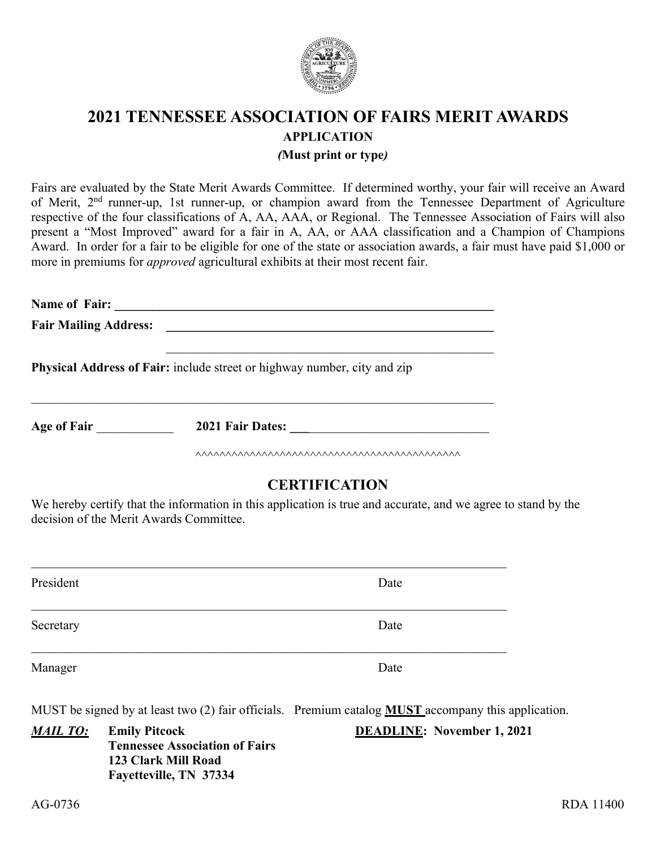

# **2021 TENNESSEE ASSOCIATION OF FAIRS MERIT AWARDS APPLICATION**  *(***Must print or type***)*

Fairs are evaluated by the State Merit Awards Committee. If determined worthy, your fair will receive an Award of Merit, 2nd runner-up, 1st runner-up, or champion award from the Tennessee Department of Agriculture respective of the four classifications of A, AA, AAA, or Regional. The Tennessee Association of Fairs will also present a "Most Improved" award for a fair in A, AA, or AAA classification and a Champion of Champions Award. In order for a fair to be eligible for one of the state or association awards, a fair must have paid \$1,000 or more in premiums for *approved* agricultural exhibits at their most recent fair.

**Name of Fair: \_\_\_\_\_\_\_\_\_\_\_\_\_\_\_\_\_\_\_\_\_\_\_\_\_\_\_\_\_\_\_\_\_\_\_\_\_\_\_\_\_\_\_\_\_\_\_\_\_\_\_\_\_\_\_\_\_\_\_ Fair Mailing Address: \_\_\_\_\_\_\_\_\_\_\_\_\_\_\_\_\_\_\_\_\_\_\_\_\_\_\_\_\_\_\_\_\_\_\_\_\_\_\_\_\_\_\_\_\_\_\_\_\_\_\_**

 $\mathcal{L}_\text{max} = \mathcal{L}_\text{max} = \mathcal{L}_\text{max} = \mathcal{L}_\text{max} = \mathcal{L}_\text{max} = \mathcal{L}_\text{max} = \mathcal{L}_\text{max} = \mathcal{L}_\text{max} = \mathcal{L}_\text{max} = \mathcal{L}_\text{max} = \mathcal{L}_\text{max} = \mathcal{L}_\text{max} = \mathcal{L}_\text{max} = \mathcal{L}_\text{max} = \mathcal{L}_\text{max} = \mathcal{L}_\text{max} = \mathcal{L}_\text{max} = \mathcal{L}_\text{max} = \mathcal{$ 

**Physical Address of Fair:** include street or highway number, city and zip

**Age of Fair 2021 Fair Dates:**  $\blacksquare$ 

 $\Lambda$ 

# **CERTIFICATION**

We hereby certify that the information in this application is true and accurate, and we agree to stand by the decision of the Merit Awards Committee.

| President | Date |
|-----------|------|
| Secretary | Date |
| Manager   | Date |

MUST be signed by at least two (2) fair officials. Premium catalog **MUST** accompany this application.

*MAIL TO:* **Emily Pitcock DEADLINE: November 1, 2021 Tennessee Association of Fairs 123 Clark Mill Road Fayetteville, TN 37334**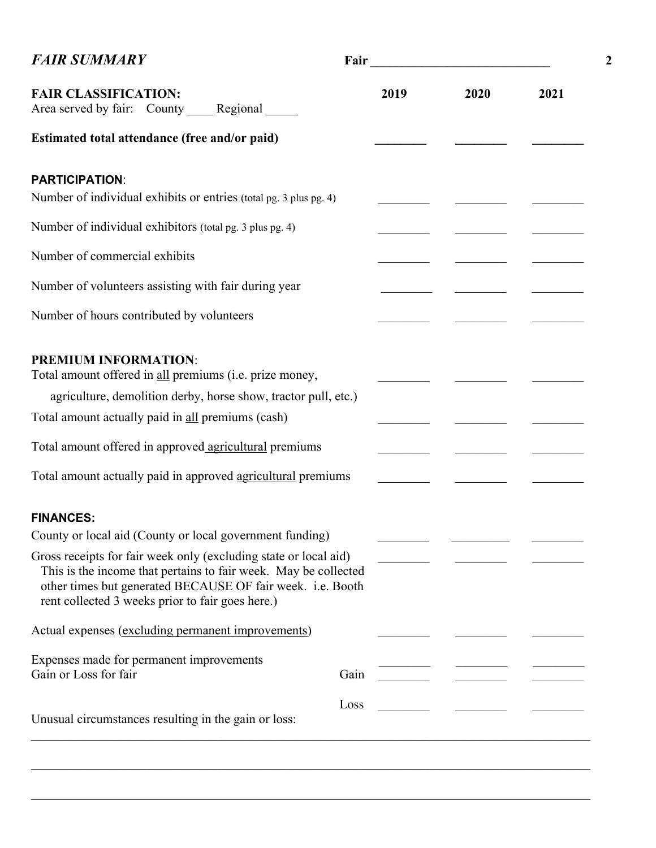| <b>FAIR SUMMARY</b>                                                                                                                                                                                                                                   |      |                                                         |      |  |  |  |
|-------------------------------------------------------------------------------------------------------------------------------------------------------------------------------------------------------------------------------------------------------|------|---------------------------------------------------------|------|--|--|--|
| <b>FAIR CLASSIFICATION:</b><br>Area served by fair: County _____ Regional ______                                                                                                                                                                      | 2019 | 2020                                                    | 2021 |  |  |  |
| Estimated total attendance (free and/or paid)                                                                                                                                                                                                         |      |                                                         |      |  |  |  |
| <b>PARTICIPATION:</b><br>Number of individual exhibits or entries (total pg. 3 plus pg. 4)                                                                                                                                                            |      |                                                         |      |  |  |  |
| Number of individual exhibitors (total pg. 3 plus pg. 4)                                                                                                                                                                                              |      |                                                         |      |  |  |  |
| Number of commercial exhibits                                                                                                                                                                                                                         |      | <u> 1989 - Andrea Stationer, amerikansk politiker (</u> |      |  |  |  |
| Number of volunteers assisting with fair during year                                                                                                                                                                                                  |      |                                                         |      |  |  |  |
| Number of hours contributed by volunteers                                                                                                                                                                                                             |      |                                                         |      |  |  |  |
| <b>PREMIUM INFORMATION:</b><br>Total amount offered in all premiums (i.e. prize money,<br>agriculture, demolition derby, horse show, tractor pull, etc.)                                                                                              |      |                                                         |      |  |  |  |
| Total amount actually paid in all premiums (cash)                                                                                                                                                                                                     |      |                                                         |      |  |  |  |
| Total amount offered in approved agricultural premiums                                                                                                                                                                                                |      |                                                         |      |  |  |  |
| Total amount actually paid in approved agricultural premiums                                                                                                                                                                                          |      |                                                         |      |  |  |  |
| <b>FINANCES:</b>                                                                                                                                                                                                                                      |      |                                                         |      |  |  |  |
| County or local aid (County or local government funding)                                                                                                                                                                                              |      |                                                         |      |  |  |  |
| Gross receipts for fair week only (excluding state or local aid)<br>This is the income that pertains to fair week. May be collected<br>other times but generated BECAUSE OF fair week. i.e. Booth<br>rent collected 3 weeks prior to fair goes here.) |      |                                                         |      |  |  |  |
| Actual expenses (excluding permanent improvements)                                                                                                                                                                                                    |      |                                                         |      |  |  |  |
| Expenses made for permanent improvements<br>Gain or Loss for fair<br>Gain                                                                                                                                                                             |      |                                                         |      |  |  |  |
| Loss<br>Unusual circumstances resulting in the gain or loss:                                                                                                                                                                                          |      |                                                         |      |  |  |  |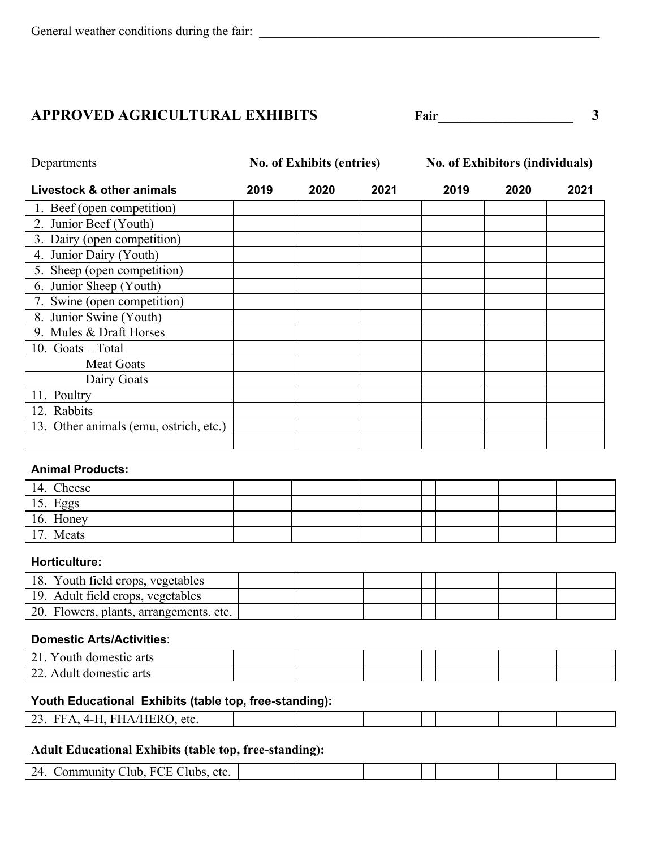## **APPROVED AGRICULTURAL EXHIBITS** Fair Fair 3

| Departments                            |      | <b>No. of Exhibits (entries)</b> |      |      | <b>No. of Exhibitors (individuals)</b> |      |  |
|----------------------------------------|------|----------------------------------|------|------|----------------------------------------|------|--|
| Livestock & other animals              | 2019 | 2020                             | 2021 | 2019 | 2020                                   | 2021 |  |
| 1. Beef (open competition)             |      |                                  |      |      |                                        |      |  |
| 2. Junior Beef (Youth)                 |      |                                  |      |      |                                        |      |  |
| 3. Dairy (open competition)            |      |                                  |      |      |                                        |      |  |
| 4. Junior Dairy (Youth)                |      |                                  |      |      |                                        |      |  |
| 5. Sheep (open competition)            |      |                                  |      |      |                                        |      |  |
| 6. Junior Sheep (Youth)                |      |                                  |      |      |                                        |      |  |
| 7. Swine (open competition)            |      |                                  |      |      |                                        |      |  |
| 8. Junior Swine (Youth)                |      |                                  |      |      |                                        |      |  |
| 9. Mules & Draft Horses                |      |                                  |      |      |                                        |      |  |
| 10. Goats - Total                      |      |                                  |      |      |                                        |      |  |
| <b>Meat Goats</b>                      |      |                                  |      |      |                                        |      |  |
| Dairy Goats                            |      |                                  |      |      |                                        |      |  |
| 11. Poultry                            |      |                                  |      |      |                                        |      |  |
| 12. Rabbits                            |      |                                  |      |      |                                        |      |  |
| 13. Other animals (emu, ostrich, etc.) |      |                                  |      |      |                                        |      |  |
|                                        |      |                                  |      |      |                                        |      |  |

### **Animal Products:**

| 14. Cheese |  |  |  |  |
|------------|--|--|--|--|
| 15. Eggs   |  |  |  |  |
| 16. Honey  |  |  |  |  |
| 17. Meats  |  |  |  |  |

#### **Horticulture:**

| 18. Youth field crops, vegetables       |  |  |  |  |
|-----------------------------------------|--|--|--|--|
| 19. Adult field crops, vegetables       |  |  |  |  |
| 20. Flowers, plants, arrangements. etc. |  |  |  |  |

### **Domestic Arts/Activities**:

| $\mathcal{D}$ 1<br>റഷഹ<br>Y OUT<br>31 I C<br>alts<br>$\sim$ 1 |  |  |  |  |
|---------------------------------------------------------------|--|--|--|--|
| ົາາ<br>$\Lambda$<br>ai ts<br>,,,,,                            |  |  |  |  |

## **Youth Educational Exhibits (table top, free-standing):**

| റാ<br>- CC 1<br>etc.<br>--<br>$\sim$ $\sim$ |  |  |  |  |
|---------------------------------------------|--|--|--|--|
|                                             |  |  |  |  |

## **Adult Educational Exhibits (table top, free-standing):**

| $\sim$<br>74<br>etc.<br>-<br><b>CONTRACTOR</b> |  |  |  |  |
|------------------------------------------------|--|--|--|--|
|                                                |  |  |  |  |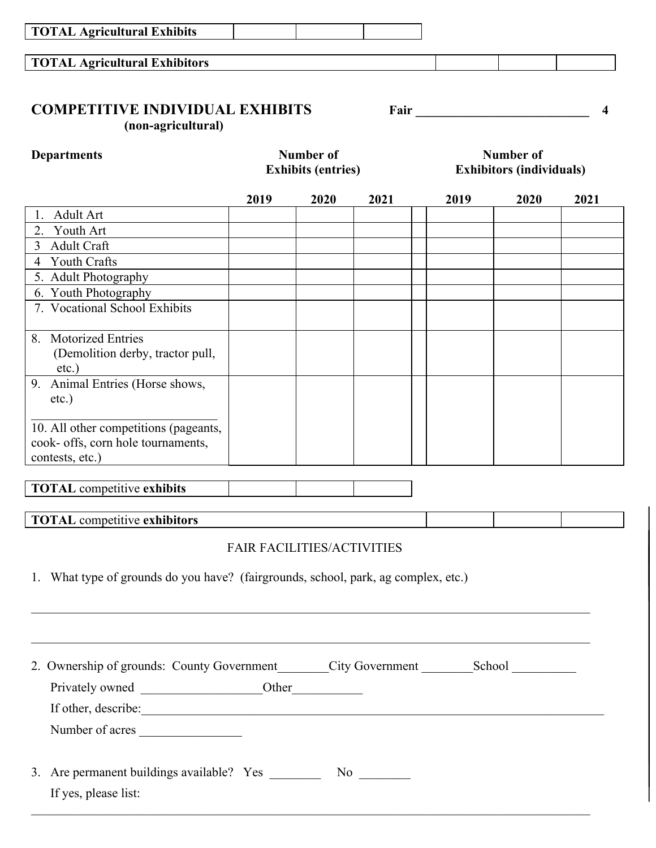| <b>TOTAL Agricultural Exhibitors</b>                                                           |      |                                               |      |                          |                                                     |      |  |
|------------------------------------------------------------------------------------------------|------|-----------------------------------------------|------|--------------------------|-----------------------------------------------------|------|--|
| <b>COMPETITIVE INDIVIDUAL EXHIBITS</b><br>(non-agricultural)                                   |      |                                               |      | Fair <u>____________</u> |                                                     | 4    |  |
| <b>Departments</b>                                                                             |      | <b>Number of</b><br><b>Exhibits (entries)</b> |      |                          | <b>Number of</b><br><b>Exhibitors (individuals)</b> |      |  |
|                                                                                                | 2019 | 2020                                          | 2021 | 2019                     | 2020                                                | 2021 |  |
| Adult Art<br>Ι.                                                                                |      |                                               |      |                          |                                                     |      |  |
| Youth Art<br>2.                                                                                |      |                                               |      |                          |                                                     |      |  |
| $\overline{3}$<br><b>Adult Craft</b>                                                           |      |                                               |      |                          |                                                     |      |  |
| <b>Youth Crafts</b><br>4                                                                       |      |                                               |      |                          |                                                     |      |  |
| 5. Adult Photography                                                                           |      |                                               |      |                          |                                                     |      |  |
| 6. Youth Photography                                                                           |      |                                               |      |                          |                                                     |      |  |
| 7. Vocational School Exhibits                                                                  |      |                                               |      |                          |                                                     |      |  |
| 8. Motorized Entries<br>(Demolition derby, tractor pull,<br>$etc.$ )                           |      |                                               |      |                          |                                                     |      |  |
| 9. Animal Entries (Horse shows,<br>etc.)                                                       |      |                                               |      |                          |                                                     |      |  |
| 10. All other competitions (pageants,<br>cook- offs, corn hole tournaments,<br>contests, etc.) |      |                                               |      |                          |                                                     |      |  |
| <b>TOTAL</b> competitive exhibits                                                              |      |                                               |      |                          |                                                     |      |  |
| <b>TOTAL</b> competitive exhibitors                                                            |      |                                               |      |                          |                                                     |      |  |
| 1. What type of grounds do you have? (fairgrounds, school, park, ag complex, etc.)             |      | <b>FAIR FACILITIES/ACTIVITIES</b>             |      |                          |                                                     |      |  |
|                                                                                                |      |                                               |      |                          |                                                     |      |  |
| 2. Ownership of grounds: County Government_______City Government _________School __________    |      |                                               |      |                          |                                                     |      |  |
|                                                                                                |      |                                               |      |                          |                                                     |      |  |
|                                                                                                |      |                                               |      |                          |                                                     |      |  |

Number of acres

3. Are permanent buildings available? Yes \_\_\_\_\_\_\_\_\_\_ No \_\_\_\_\_\_\_\_ If yes, please list: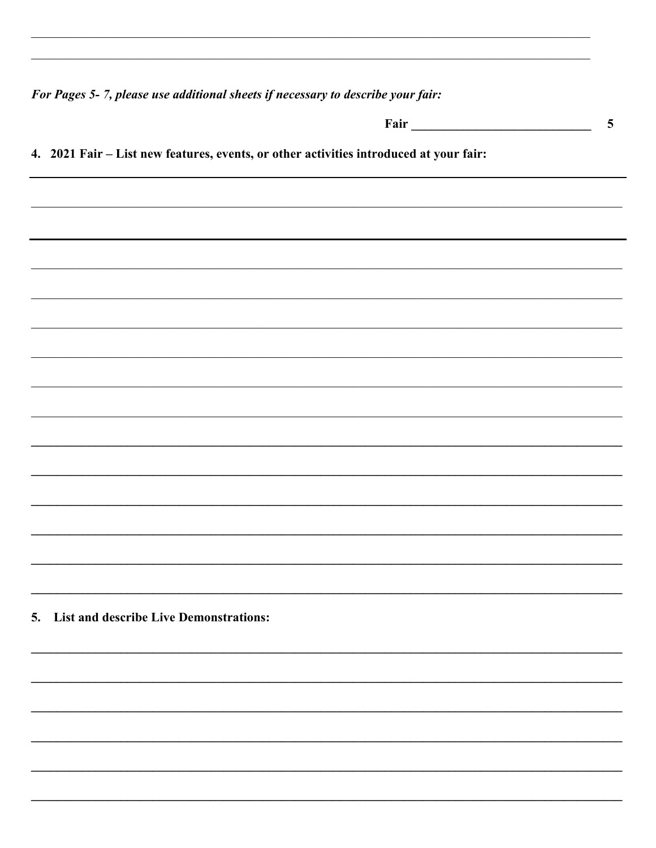For Pages 5-7, please use additional sheets if necessary to describe your fair:

|                                                                                        | 5 |
|----------------------------------------------------------------------------------------|---|
| 4. 2021 Fair - List new features, events, or other activities introduced at your fair: |   |
|                                                                                        |   |
|                                                                                        |   |
|                                                                                        |   |
|                                                                                        |   |
|                                                                                        |   |
|                                                                                        |   |
|                                                                                        |   |
|                                                                                        |   |
|                                                                                        |   |
|                                                                                        |   |
|                                                                                        |   |
|                                                                                        |   |
|                                                                                        |   |
| 5. List and describe Live Demonstrations:                                              |   |
|                                                                                        |   |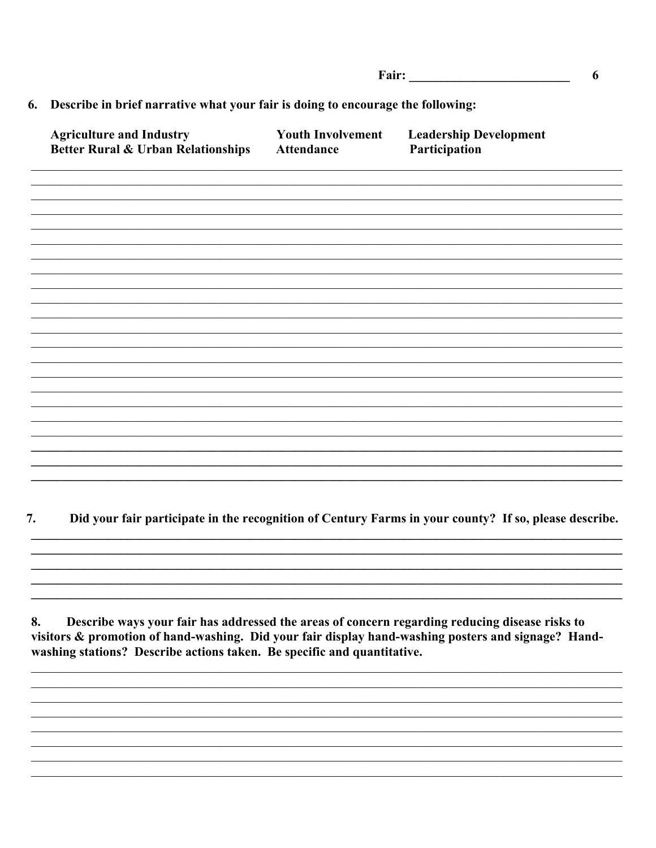| Fair: |  |
|-------|--|
|       |  |

#### 6. Describe in brief narrative what your fair is doing to encourage the following:

| <b>Agriculture and Industry</b><br>Better Rural & Urban Relationships | <b>Youth Involvement</b><br>Attendance | <b>Leadership Development</b><br>Participation |
|-----------------------------------------------------------------------|----------------------------------------|------------------------------------------------|
|                                                                       |                                        |                                                |
|                                                                       |                                        |                                                |
|                                                                       |                                        |                                                |
|                                                                       |                                        |                                                |
|                                                                       |                                        |                                                |
|                                                                       |                                        |                                                |
|                                                                       |                                        |                                                |
|                                                                       |                                        |                                                |

#### 7. Did your fair participate in the recognition of Century Farms in your county? If so, please describe.

8. Describe ways your fair has addressed the areas of concern regarding reducing disease risks to visitors & promotion of hand-washing. Did your fair display hand-washing posters and signage? Handwashing stations? Describe actions taken. Be specific and quantitative.